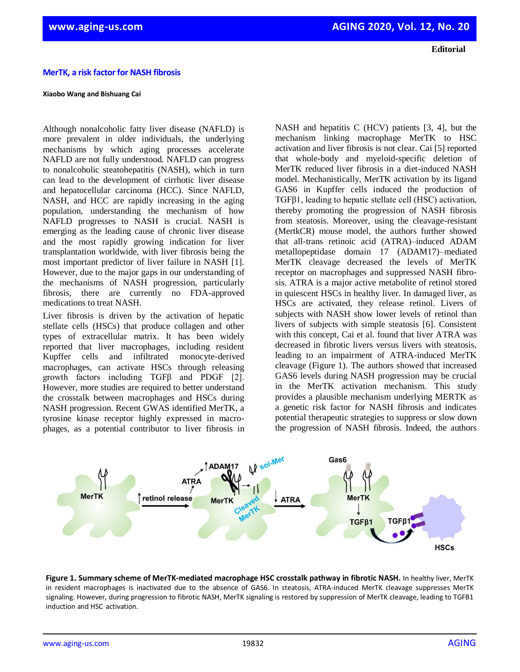**Editorial**

## **MerTK, a risk factor for NASH fibrosis**

## **Xiaobo Wang and Bishuang Cai**

Although nonalcoholic fatty liver disease (NAFLD) is more prevalent in older individuals, the underlying mechanisms by which aging processes accelerate NAFLD are not fully understood. NAFLD can progress to nonalcoholic steatohepatitis (NASH), which in turn can lead to the development of cirrhotic liver disease and hepatocellular carcinoma (HCC). Since NAFLD, NASH, and HCC are rapidly increasing in the aging population, understanding the mechanism of how NAFLD progresses to NASH is crucial. NASH is emerging as the leading cause of chronic liver disease and the most rapidly growing indication for liver transplantation worldwide, with liver fibrosis being the most important predictor of liver failure in NASH [1]. However, due to the major gaps in our understanding of the mechanisms of NASH progression, particularly fibrosis, there are currently no FDA-approved medications to treat NASH.

Liver fibrosis is driven by the activation of hepatic stellate cells (HSCs) that produce collagen and other types of extracellular matrix. It has been widely reported that liver macrophages, including resident Kupffer cells and infiltrated monocyte-derived macrophages, can activate HSCs through releasing growth factors including TGFβ and PDGF [2]. However, more studies are required to better understand the crosstalk between macrophages and HSCs during NASH progression. Recent GWAS identified MerTK, a tyrosine kinase receptor highly expressed in macrophages, as a potential contributor to liver fibrosis in NASH and hepatitis C (HCV) patients [3, 4], but the mechanism linking macrophage MerTK to HSC activation and liver fibrosis is not clear. Cai [5] reported that whole-body and myeloid-specific deletion of MerTK reduced liver fibrosis in a diet-induced NASH model. Mechanistically, MerTK activation by its ligand GAS6 in Kupffer cells induced the production of TGFβ1, leading to hepatic stellate cell (HSC) activation, thereby promoting the progression of NASH fibrosis from steatosis. Moreover, using the cleavage-resistant (MertkCR) mouse model, the authors further showed that all-trans retinoic acid (ATRA)–induced ADAM metallopeptidase domain 17 (ADAM17)–mediated MerTK cleavage decreased the levels of MerTK receptor on macrophages and suppressed NASH fibrosis. ATRA is a major active metabolite of retinol stored in quiescent HSCs in healthy liver. In damaged liver, as HSCs are activated, they release retinol. Livers of subjects with NASH show lower levels of retinol than livers of subjects with simple steatosis [6]. Consistent with this concept, Cai et al. found that liver ATRA was decreased in fibrotic livers versus livers with steatosis, leading to an impairment of ATRA-induced MerTK cleavage (Figure 1). The authors showed that increased GAS6 levels during NASH progression may be crucial in the MerTK activation mechanism. This study provides a plausible mechanism underlying MERTK as a genetic risk factor for NASH fibrosis and indicates potential therapeutic strategies to suppress or slow down the progression of NASH fibrosis. Indeed, the authors